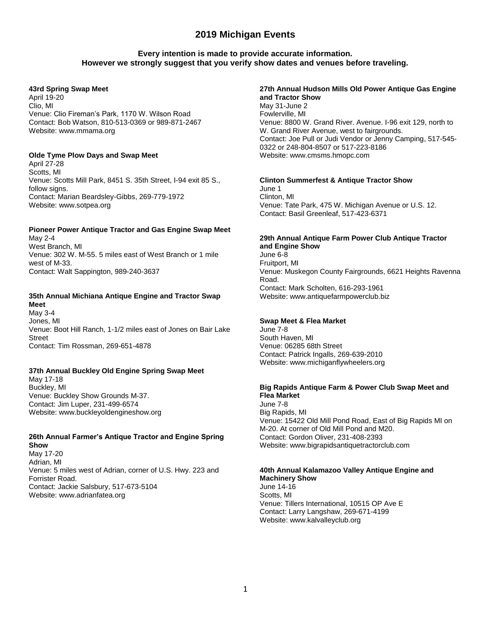## **Every intention is made to provide accurate information. However we strongly suggest that you verify show dates and venues before traveling.**

### **43rd Spring Swap Meet**

April 19-20 Clio, MI Venue: Clio Fireman's Park, 1170 W. Wilson Road Contact: Bob Watson, 810-513-0369 or 989-871-2467 Website: www.mmama.org

### **Olde Tyme Plow Days and Swap Meet**

April 27-28 Scotts, MI Venue: Scotts Mill Park, 8451 S. 35th Street, I-94 exit 85 S., follow signs. Contact: Marian Beardsley-Gibbs, 269-779-1972 Website: www.sotpea.org

#### **Pioneer Power Antique Tractor and Gas Engine Swap Meet** May 2-4

West Branch, MI Venue: 302 W. M-55. 5 miles east of West Branch or 1 mile west of M-33. Contact: Walt Sappington, 989-240-3637

#### **35th Annual Michiana Antique Engine and Tractor Swap Meet**

May 3-4 Jones, MI Venue: Boot Hill Ranch, 1-1/2 miles east of Jones on Bair Lake **Street** Contact: Tim Rossman, 269-651-4878

## **37th Annual Buckley Old Engine Spring Swap Meet**

May 17-18 Buckley, MI Venue: Buckley Show Grounds M-37. Contact: Jim Luper, 231-499-6574 Website: www.buckleyoldengineshow.org

### **26th Annual Farmer's Antique Tractor and Engine Spring Show**

May 17-20 Adrian, MI Venue: 5 miles west of Adrian, corner of U.S. Hwy. 223 and Forrister Road. Contact: Jackie Salsbury, 517-673-5104 Website: www.adrianfatea.org

### **27th Annual Hudson Mills Old Power Antique Gas Engine and Tractor Show** May 31-June 2 Fowlerville, MI

Venue: 8800 W. Grand River. Avenue. I-96 exit 129, north to W. Grand River Avenue, west to fairgrounds. Contact: Joe Pull or Judi Vendor or Jenny Camping, 517-545- 0322 or 248-804-8507 or 517-223-8186 Website: www.cmsms.hmopc.com

### **Clinton Summerfest & Antique Tractor Show**

June 1 Clinton, MI Venue: Tate Park, 475 W. Michigan Avenue or U.S. 12. Contact: Basil Greenleaf, 517-423-6371

### **29th Annual Antique Farm Power Club Antique Tractor and Engine Show**

June 6-8 Fruitport, MI Venue: Muskegon County Fairgrounds, 6621 Heights Ravenna Road. Contact: Mark Scholten, 616-293-1961 Website: www.antiquefarmpowerclub.biz

## **Swap Meet & Flea Market**

June 7-8 South Haven, MI Venue: 06285 68th Street Contact: Patrick Ingalls, 269-639-2010 Website: www.michiganflywheelers.org

### **Big Rapids Antique Farm & Power Club Swap Meet and Flea Market**

June 7-8 Big Rapids, MI Venue: 15422 Old Mill Pond Road, East of Big Rapids MI on M-20. At corner of Old Mill Pond and M20. Contact: Gordon Oliver, 231-408-2393 Website: www.bigrapidsantiquetractorclub.com

#### **40th Annual Kalamazoo Valley Antique Engine and Machinery Show**

June 14-16 Scotts, MI Venue: Tillers International, 10515 OP Ave E Contact: Larry Langshaw, 269-671-4199 Website: www.kalvalleyclub.org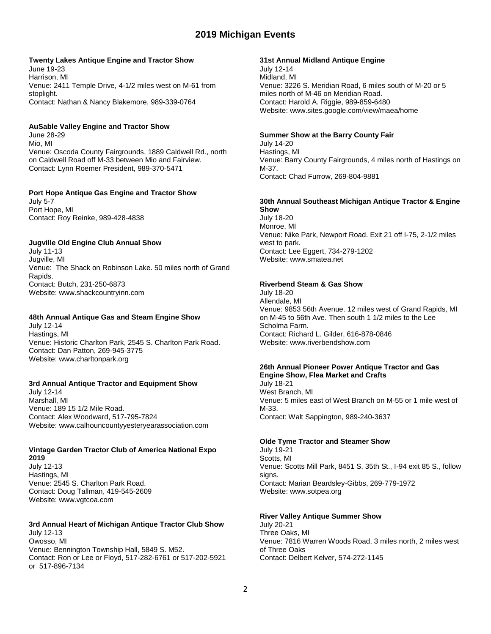### **Twenty Lakes Antique Engine and Tractor Show**

June 19-23 Harrison, MI Venue: 2411 Temple Drive, 4-1/2 miles west on M-61 from stoplight. Contact: Nathan & Nancy Blakemore, 989-339-0764

### **AuSable Valley Engine and Tractor Show**

June 28-29 Mio, MI Venue: Oscoda County Fairgrounds, 1889 Caldwell Rd., north on Caldwell Road off M-33 between Mio and Fairview. Contact: Lynn Roemer President, 989-370-5471

### **Port Hope Antique Gas Engine and Tractor Show**

July 5-7 Port Hope, MI Contact: Roy Reinke, 989-428-4838

### **Jugville Old Engine Club Annual Show**

July 11-13 Jugville, MI Venue: The Shack on Robinson Lake. 50 miles north of Grand Rapids. Contact: Butch, 231-250-6873 Website: www.shackcountryinn.com

### **48th Annual Antique Gas and Steam Engine Show**

July 12-14 Hastings, MI Venue: Historic Charlton Park, 2545 S. Charlton Park Road. Contact: Dan Patton, 269-945-3775 Website: www.charltonpark.org

### **3rd Annual Antique Tractor and Equipment Show**

July 12-14 Marshall, MI Venue: 189 15 1/2 Mile Road. Contact: Alex Woodward, 517-795-7824 Website: www.calhouncountyyesteryearassociation.com

#### **Vintage Garden Tractor Club of America National Expo 2019**

July 12-13 Hastings, MI Venue: 2545 S. Charlton Park Road. Contact: Doug Tallman, 419-545-2609 Website: www.vgtcoa.com

## **3rd Annual Heart of Michigan Antique Tractor Club Show**

July 12-13 Owosso, MI Venue: Bennington Township Hall, 5849 S. M52. Contact: Ron or Lee or Floyd, 517-282-6761 or 517-202-5921 or 517-896-7134

### **31st Annual Midland Antique Engine**

July 12-14 Midland, MI Venue: 3226 S. Meridian Road, 6 miles south of M-20 or 5 miles north of M-46 on Meridian Road. Contact: Harold A. Riggie, 989-859-6480 Website: www.sites.google.com/view/maea/home

### **Summer Show at the Barry County Fair**

July 14-20 Hastings, MI Venue: Barry County Fairgrounds, 4 miles north of Hastings on M-37. Contact: Chad Furrow, 269-804-9881

#### **30th Annual Southeast Michigan Antique Tractor & Engine Show**

July 18-20 Monroe, MI Venue: Nike Park, Newport Road. Exit 21 off I-75, 2-1/2 miles west to park. Contact: Lee Eggert, 734-279-1202 Website: www.smatea.net

### **Riverbend Steam & Gas Show**

July 18-20 Allendale, MI Venue: 9853 56th Avenue. 12 miles west of Grand Rapids, MI on M-45 to 56th Ave. Then south 1 1/2 miles to the Lee Scholma Farm. Contact: Richard L. Gilder, 616-878-0846 Website: www.riverbendshow.com

#### **26th Annual Pioneer Power Antique Tractor and Gas Engine Show, Flea Market and Crafts**

July 18-21 West Branch, MI Venue: 5 miles east of West Branch on M-55 or 1 mile west of M-33. Contact: Walt Sappington, 989-240-3637

### **Olde Tyme Tractor and Steamer Show**

July 19-21 Scotts, MI Venue: Scotts Mill Park, 8451 S. 35th St., I-94 exit 85 S., follow signs. Contact: Marian Beardsley-Gibbs, 269-779-1972 Website: www.sotpea.org

### **River Valley Antique Summer Show**

July 20-21 Three Oaks, MI Venue: 7816 Warren Woods Road, 3 miles north, 2 miles west of Three Oaks Contact: Delbert Kelver, 574-272-1145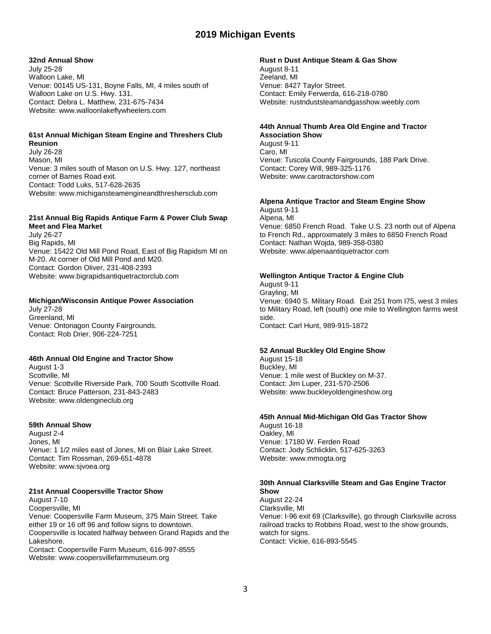### **32nd Annual Show**

July 25-28 Walloon Lake, MI Venue: 00145 US-131, Boyne Falls, MI, 4 miles south of Walloon Lake on U.S. Hwy. 131. Contact: Debra L. Matthew, 231-675-7434 Website: www.walloonlakeflywheelers.com

# **61st Annual Michigan Steam Engine and Threshers Club**

**Reunion** July 26-28 Mason, MI Venue: 3 miles south of Mason on U.S. Hwy. 127, northeast corner of Barnes Road exit. Contact: Todd Luks, 517-628-2635 Website: www.michigansteamengineandthreshersclub.com

# **21st Annual Big Rapids Antique Farm & Power Club Swap Meet and Flea Market**

July 26-27 Big Rapids, MI Venue: 15422 Old Mill Pond Road, East of Big Rapidsm MI on M-20. At corner of Old Mill Pond and M20. Contact: Gordon Oliver, 231-408-2393 Website: www.bigrapidsantiquetractorclub.com

### **Michigan/Wisconsin Antique Power Association**

July 27-28 Greenland, MI Venue: Ontonagon County Fairgrounds. Contact: Rob Drier, 906-224-7251

## **46th Annual Old Engine and Tractor Show**

August 1-3 Scottville, MI Venue: Scottville Riverside Park, 700 South Scottville Road. Contact: Bruce Patterson, 231-843-2483 Website: www.oldengineclub.org

### **59th Annual Show**

August 2-4 Jones, MI Venue: 1 1/2 miles east of Jones, MI on Blair Lake Street. Contact: Tim Rossman, 269-651-4878 Website: www.sjvoea.org

### **21st Annual Coopersville Tractor Show**

August 7-10 Coopersville, MI Venue: Coopersville Farm Museum, 375 Main Street. Take either 19 or 16 off 96 and follow signs to downtown. Coopersville is located halfway between Grand Rapids and the Lakeshore. Contact: Coopersville Farm Museum, 616-997-8555

Website: www.coopersvillefarmmuseum.org

### **Rust n Dust Antique Steam & Gas Show**

August 8-11 Zeeland, MI Venue: 8427 Taylor Street. Contact: Emily Ferwerda, 616-218-0780 Website: rustnduststeamandgasshow.weebly.com

### **44th Annual Thumb Area Old Engine and Tractor Association Show**

August 9-11 Caro, MI Venue: Tuscola County Fairgrounds, 188 Park Drive. Contact: Corey Will, 989-325-1176 Website: www.carotractorshow.com

# **Alpena Antique Tractor and Steam Engine Show**

August 9-11 Alpena, MI Venue: 6850 French Road. Take U.S. 23 north out of Alpena to French Rd., approximately 3 miles to 6850 French Road Contact: Nathan Wojda, 989-358-0380 Website: www.alpenaantiquetractor.com

### **Wellington Antique Tractor & Engine Club**

August 9-11 Grayling, MI Venue: 6940 S. Military Road. Exit 251 from I75, west 3 miles to Military Road, left (south) one mile to Wellington farms west side. Contact: Carl Hunt, 989-915-1872

### **52 Annual Buckley Old Engine Show**

August 15-18 Buckley, MI Venue: 1 mile west of Buckley on M-37. Contact: Jim Luper, 231-570-2506 Website: www.buckleyoldengineshow.org

### **45th Annual Mid-Michigan Old Gas Tractor Show**

August 16-18 Oakley, MI Venue: 17180 W. Ferden Road Contact: Jody Schlicklin, 517-625-3263 Website: www.mmogta.org

#### **30th Annual Clarksville Steam and Gas Engine Tractor Show**

August 22-24 Clarksville, MI Venue: I-96 exit 69 (Clarksville), go through Clarksville across railroad tracks to Robbins Road, west to the show grounds, watch for signs. Contact: Vickie, 616-893-5545